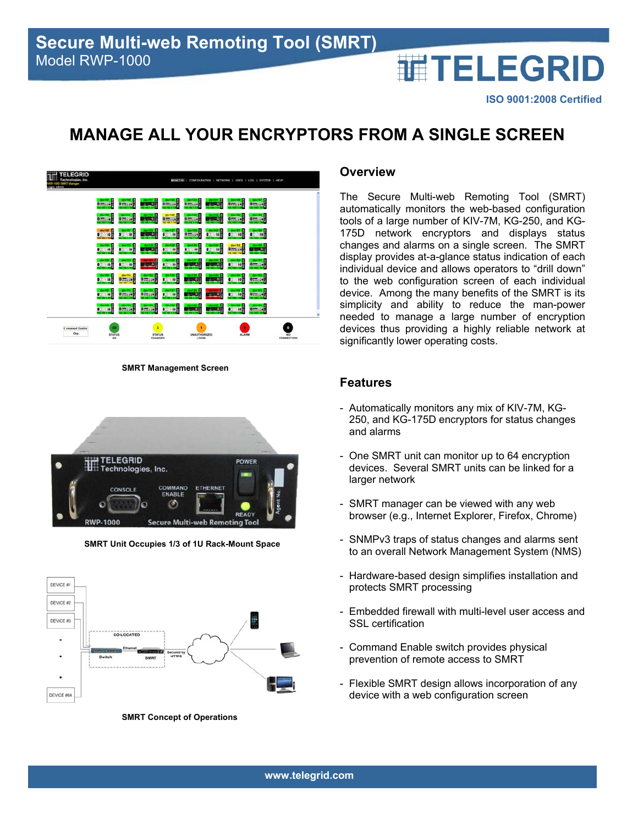#### **ISO 9001:2008 Certified**

**THELEGRID** 

# **MANAGE ALL YOUR ENCRYPTORS FROM A SINGLE SCREEN**



**SMRT Management Screen** 



**SMRT Unit Occupies 1/3 of 1U Rack-Mount Space** 



**SMRT Concept of Operations** 

#### **Overview**

The Secure Multi-web Remoting Tool (SMRT) automatically monitors the web-based configuration tools of a large number of KIV-7M, KG-250, and KG-175D network encryptors and displays status changes and alarms on a single screen. The SMRT display provides at-a-glance status indication of each individual device and allows operators to "drill down" to the web configuration screen of each individual device. Among the many benefits of the SMRT is its simplicity and ability to reduce the man-power needed to manage a large number of encryption devices thus providing a highly reliable network at significantly lower operating costs.

#### **Features**

- Automatically monitors any mix of KIV-7M, KG-250, and KG-175D encryptors for status changes and alarms
- One SMRT unit can monitor up to 64 encryption devices. Several SMRT units can be linked for a larger network
- SMRT manager can be viewed with any web browser (e.g., Internet Explorer, Firefox, Chrome)
- SNMPv3 traps of status changes and alarms sent to an overall Network Management System (NMS)
- Hardware-based design simplifies installation and protects SMRT processing
- Embedded firewall with multi-level user access and SSL certification
- Command Enable switch provides physical prevention of remote access to SMRT
- Flexible SMRT design allows incorporation of any device with a web configuration screen